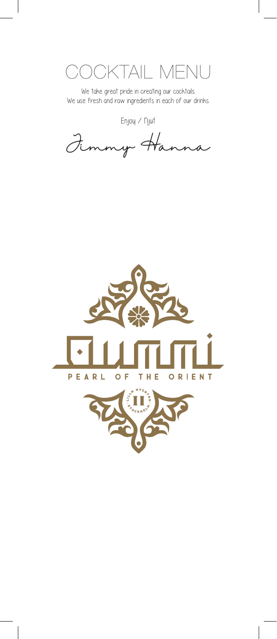OKTAIL MENU

 $\overline{\phantom{a}}$ 

We take great pride in creating our cocktails. We use fresh and raw ingredients in each of our drinks.

Enjoy / Njut

Jimmy Hanna



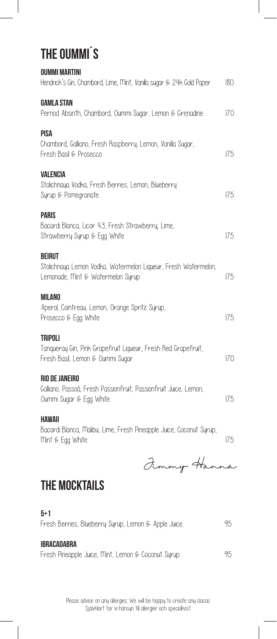# The Oummi´s

I

| <b>OUMMI MARTINI</b><br>Hendrick's Gin, Chambord, Lime, Mint, Vanilla sugar & 24k Gold Paper                         |     |
|----------------------------------------------------------------------------------------------------------------------|-----|
| <b>GAMLA STAN</b><br>Pernod Absinth, Chambord, Oummi Sugar, Lemon & Grenadine                                        |     |
| PISA<br>Chambord, Galliano, Fresh Raspberry, Lemon, Vanilla Sugar,<br>Fresh Basil & Prosecco                         |     |
| VALENCIA<br>Stolichnaya Vodka, Fresh Berries, Lemon, Blueberry<br>Surup & Pomegranate                                | 175 |
| <b>PARIS</b><br>Bacardi Blanca, Licor 43, Fresh Strawberry, Lime,<br>Strawberry Syrup & Egg White                    | 175 |
| <b>BEIRUT</b><br>Stolichnaya Lemon Vodka, Watermelon Liqueur, Fresh Watermelon,<br>Lemonade, Mint & Watermelon Syrup |     |
| <b>MILANO</b><br>Aperol, Cointreau, Lemon, Orange Spritz Syrup,<br>Prosecco & Egg White                              | 175 |
| <b>TRIPOLI</b><br>Tanqueray Gin, Pink Grapefruit Liqueur, Fresh Red Grapefruit,<br>Fresh Basil, Lemon & Oummi Sugar  | 170 |
| RIO DE JANEIRO<br>Galliano, Passoã, Fresh Passionfruit, Passionfruit Juice, Lemon,<br>Oummi Sugar & Egg White        |     |
| <b>HAWAII</b><br>Bacardi Blanca, Malibu, Lime, Fresh Pineapple Juice, Coconut Syrup,<br>Mint & Egg White             | 175 |
| Fimmy Hanna                                                                                                          |     |
| <b>THE MOCKTAILS</b>                                                                                                 |     |

#### 5+1 Fresh Berries, Blueberry Syrup, Lemon & Apple Juice 95 Ibracadabra Fresh Pineapple Juice, Mint, Lemon & Coconut Syrup 95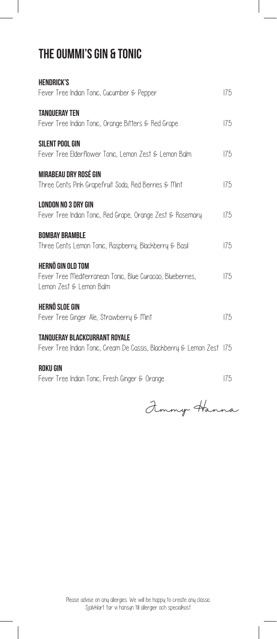#### The Oummi's Gin & Tonic

I

| <b>HENDRICK'S</b><br>Fever Tree Indian Tonic, Cucumber & Pepper                       | 175 |
|---------------------------------------------------------------------------------------|-----|
|                                                                                       |     |
| <b>TANQUERAY TEN</b>                                                                  |     |
| Fever Tree Indian Tonic, Orange Bitters & Red Grape                                   | 175 |
| <b>SILENT POOL GIN</b>                                                                |     |
| Fever Tree Elderflower Tonic, Lemon Zest & Lemon Balm                                 | 175 |
| MIRABEAU DRY ROSÉ GIN                                                                 |     |
| Three Cents Pink Grapefruit Soda, Red Berries & Mint                                  | 175 |
| LONDON NO 3 DRY GIN                                                                   |     |
| Fever Tree Indian Tonic, Red Grape, Orange Zest & Rosemary                            | 175 |
| <b>BOMBAY BRAMBLE</b>                                                                 |     |
| Three Cents Lemon Tonic, Raspberry, Blackberry & Basil                                | 175 |
| <b>HERNÖ GIN OLD TOM</b>                                                              |     |
| Fever Tree Mediterranean Tonic, Blue Curacao, Blueberries,<br>lemon Zest & Lemon Balm | 175 |
|                                                                                       |     |
| HERNÖ SLOE GIN                                                                        |     |
| Fever Tree Ginger Ale, Strawberry & Mint                                              | 175 |
| TANOUERAY BLACKCURRANT ROYALE                                                         |     |
| Fever Tree Indian Tonic, Cream De Cassis, Blackberry & Lemon Zest 175                 |     |

#### Roku Gin

Fever Tree Indian Tonic, Fresh Ginger & Orange 175

Jimmy Hanna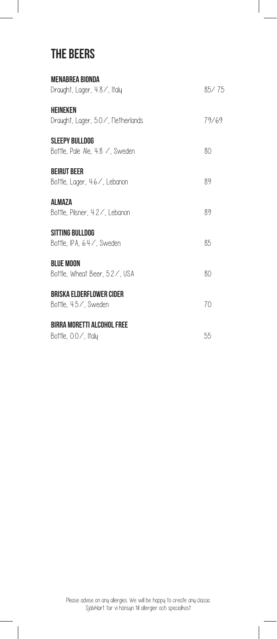#### The Beers

 $\overline{\phantom{a}}$ 

 $\begin{array}{c} \hline \end{array}$ 

| <b>MENABREA BIONDA</b><br>Draught, Lager, 4.8%, Italy    | 85/75 |
|----------------------------------------------------------|-------|
| <b>HEINEKEN</b><br>Draught, Lager, 5.0%, Netherlands     | 79/69 |
| <b>SLEEPY BULLDOG</b><br>Bottle, Pale Ale, 48 / Sweden   | 80    |
| <b>BEIRUT BEER</b><br>Bottle, Lager, 4.6%, Lebanon       | 89    |
| ALMAZA<br>Bottle, Pilsner, 4.2%, Lebanon                 | 89    |
| SITTING BULLDOG<br>Bottle, IPA, 64/, Sweden              | 85    |
| <b>BLUE MOON</b><br>Bottle, Wheat Beer, 5.2 /, USA       | 80    |
| <b>BRISKA ELDERFLOWER CIDER</b><br>Bottle, 4.5%, Sweden  | 70    |
| <b>BIRRA MORETTI ALCOHOL FREE</b><br>Bottle, 0.0%, Italy | 55    |

 $\begin{array}{c} \hline \end{array}$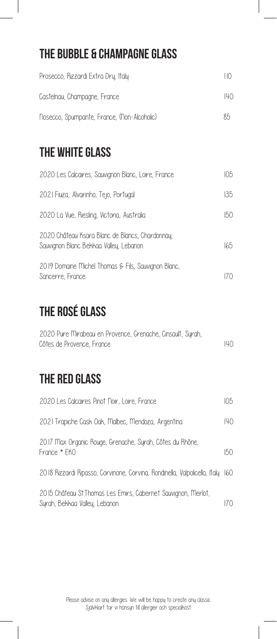## The Bubble & Champagne Glass

| Prosecco, Rizzardi Extra Dru, Italy         | ПO  |
|---------------------------------------------|-----|
| Castelnau, Champagne, France                | 140 |
| Nosecco, Spumpante, France, (Non-Alcoholic) | 85  |

#### THE WHITE GLASS

| 2020 Les Calcaires, Sauvignon Blanc, Loire, France                                        | 105  |
|-------------------------------------------------------------------------------------------|------|
| 2021 Fiuza, Alvarinho, Tejo, Portugal                                                     | 135  |
| 2020 La Vue, Riesling, Victoria, Australia                                                | 150  |
| 2020 Château Ksara Blanc de Blancs, Chardonnay,<br>Sauvignon Blanc Bekkaa Valley, Lebanon | 165  |
| 2019 Domaine Michel Thomas $\epsilon$ Fils, Sauvignon Blanc,<br>Sancerre, France          | (7() |

## The Rosé Glass

| 2020 Pure Mirabeau en Provence, Grenache, Cinsault, Syrah, |     |
|------------------------------------------------------------|-----|
| Côtes de Provence, France                                  | 140 |

#### The Red Glass

| 2020 Les Calcaires Pinot Noir, Loire, France                                                    | 105 |
|-------------------------------------------------------------------------------------------------|-----|
| 2021 Trapiche Cask Oak, Malbec, Mendoza, Argentina                                              | 140 |
| 2017 Max Organic Rouge, Grenache, Syrah, Côtes du Rhône,<br>France * FKO                        | 150 |
| 2018 Rizzardi Ripasso, Corvinone, Corvina, Rondinella, Valpolicella, Italy 160                  |     |
| 2015 Château St. Thomas Les Emirs, Cabernet Sauvignon, Merlot,<br>Syrah, Bekkaa Valley, Lebanon | 170 |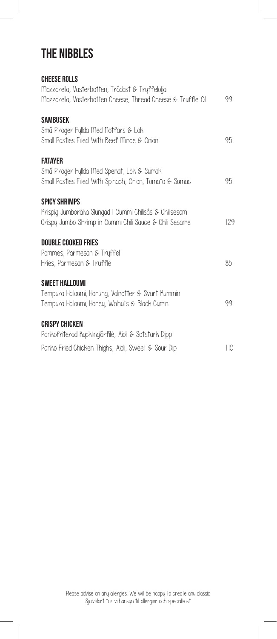#### The Nibbles

 $\overline{\phantom{a}}$ 

 $\begin{array}{c} \hline \end{array}$ 

| <b>CHEESE ROLLS</b>                                                                                                |     |
|--------------------------------------------------------------------------------------------------------------------|-----|
| Mozzarella, Västerbotten, Trådost & Tryffelolja<br>Mozzarella, Västerbotten Cheese, Thread Cheese & Truffle Oil    | 99  |
| <b>SAMBUSEK</b><br>Små Piroger Fyllda Med Nötfärs & Lök                                                            |     |
| Small Pasties Filled With Beef Mince & Onion                                                                       | 95  |
| <b>FATAYER</b><br>Små Piroger Fyllda Med Spenat, Lök & Sumak                                                       |     |
| Small Pasties Filled With Spinach, Onion, Tomato & Sumac                                                           | 95  |
| <b>SPICY SHRIMPS</b>                                                                                               |     |
| Krispig Jumboräka Slungad I Oummi Chilisås & Chilisesam<br>Crispy Jumbo Shrimp in Oummi Chili Sauce & Chili Sesame | 129 |
| <b>DOUBLE COOKED FRIES</b>                                                                                         |     |
| Pommes, Parmesan & Tryffel                                                                                         |     |
| Fries, Parmesan & Truffle                                                                                          | 85  |
| <b>SWEET HALLOUMI</b>                                                                                              |     |
| Tempura Halloumi, Honung, Valnötter & Svart Kummin                                                                 |     |
| Tempura Halloumi, Honey, Walnuts & Black Cumin                                                                     | 99  |
| <b>CRISPY CHICKEN</b>                                                                                              |     |
| Pankofriterad Kucklinglårfilé, Aioli & Sötstark Dipp                                                               |     |
| Panko Fried Chicken Thighs, Aioli, Sweet & Sour Dip                                                                | НO  |

I

 $\begin{array}{c} \hline \end{array}$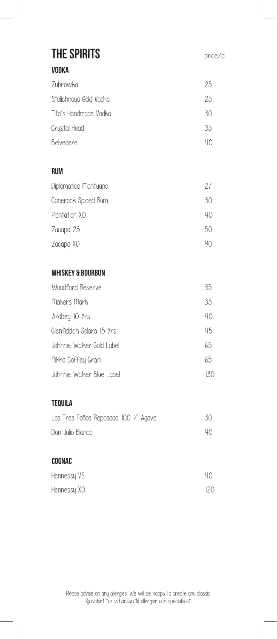| <b>THE SPIRITS</b>                  | price/cl |
|-------------------------------------|----------|
| <b>VODKA</b>                        |          |
| Zubrowka                            | 25       |
| Stolichnaya Gold Vodka              | 25       |
| Tito's Handmade Vodka               | 30       |
| Crystal Head                        | 35       |
| Belvedere                           | 40       |
| <b>RUM</b>                          |          |
| Diplomatico Mantuano                | 27       |
| Canerock Spiced Rum                 | 30       |
| Plantation XO                       | 40       |
| Zacapa 23                           | 50       |
| Zacapa XO                           | 90       |
| <b>WHISKEY &amp; BOURBON</b>        |          |
| Woodford Reserve                    | 35       |
| Makers Mark                         | 35       |
| Ardbeg IO Yrs                       | 40       |
| Glenfiddich Solara 15 Yrs           | 45       |
| Johnnie Walker Gold Label           | 65       |
| Nikka Coffey Grain                  | 65       |
| Johnnie Walker Blue Label           | 130      |
| <b>TEQUILA</b>                      |          |
| Los Tres Toños Reposado IOO / Agave | 30       |
| Don Julio Blanco                    | 40       |
| COGNAC                              |          |
| Hennessy VS                         | 40       |
| Hennessy XO                         | 120      |

 $\overline{\phantom{a}}$ 

 $\overline{\phantom{a}}$ 

 $\begin{array}{c} \hline \end{array}$